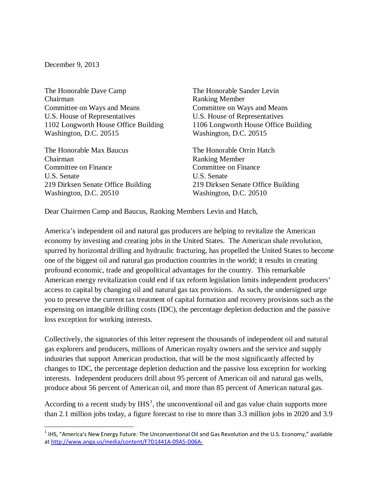December 9, 2013

The Honorable Dave Camp Chairman Committee on Ways and Means U.S. House of Representatives 1102 Longworth House Office Building Washington, D.C. 20515

The Honorable Max Baucus Chairman Committee on Finance U.S. Senate 219 Dirksen Senate Office Building Washington, D.C. 20510

The Honorable Sander Levin Ranking Member Committee on Ways and Means U.S. House of Representatives 1106 Longworth House Office Building Washington, D.C. 20515

The Honorable Orrin Hatch Ranking Member Committee on Finance U.S. Senate 219 Dirksen Senate Office Building Washington, D.C. 20510

Dear Chairmen Camp and Baucus, Ranking Members Levin and Hatch,

America's independent oil and natural gas producers are helping to revitalize the American economy by investing and creating jobs in the United States. The American shale revolution, spurred by horizontal drilling and hydraulic fracturing, has propelled the United States to become one of the biggest oil and natural gas production countries in the world; it results in creating profound economic, trade and geopolitical advantages for the country. This remarkable American energy revitalization could end if tax reform legislation limits independent producers' access to capital by changing oil and natural gas tax provisions. As such, the undersigned urge you to preserve the current tax treatment of capital formation and recovery provisions such as the expensing on intangible drilling costs (IDC), the percentage depletion deduction and the passive loss exception for working interests.

Collectively, the signatories of this letter represent the thousands of independent oil and natural gas explorers and producers, millions of American royalty owners and the service and supply industries that support American production, that will be the most significantly affected by changes to IDC, the percentage depletion deduction and the passive loss exception for working interests. Independent producers drill about 95 percent of American oil and natural gas wells, produce about 56 percent of American oil, and more than 85 percent of American natural gas.

According to a recent study by  $IHS<sup>1</sup>$  $IHS<sup>1</sup>$  $IHS<sup>1</sup>$ , the unconventional oil and gas value chain supports more than 2.1 million jobs today, a figure forecast to rise to more than 3.3 million jobs in 2020 and 3.9

<span id="page-0-0"></span> $1$  IHS, "America's New Energy Future: The Unconventional Oil and Gas Revolution and the U.S. Economy," available a[t http://www.anga.us/media/content/F7D1441A-09A5-D06A-](http://www.anga.us/media/content/F7D1441A-09A5-D06A-9EC93BBE46772E12/files/Americas_New_Energy_Future_Mfg_Renaissance_Main_Report_4Sept13.pdf)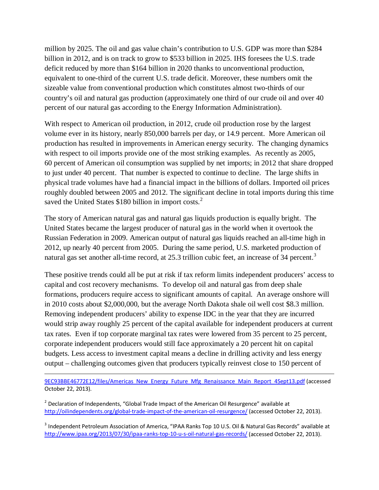million by 2025. The oil and gas value chain's contribution to U.S. GDP was more than \$284 billion in 2012, and is on track to grow to \$533 billion in 2025. IHS foresees the U.S. trade deficit reduced by more than \$164 billion in 2020 thanks to unconventional production, equivalent to one-third of the current U.S. trade deficit. Moreover, these numbers omit the sizeable value from conventional production which constitutes almost two-thirds of our country's oil and natural gas production (approximately one third of our crude oil and over 40 percent of our natural gas according to the Energy Information Administration).

With respect to American oil production, in 2012, crude oil production rose by the largest volume ever in its history, nearly 850,000 barrels per day, or 14.9 percent. More American oil production has resulted in improvements in American energy security. The changing dynamics with respect to oil imports provide one of the most striking examples. As recently as 2005, 60 percent of American oil consumption was supplied by net imports; in 2012 that share dropped to just under 40 percent. That number is expected to continue to decline. The large shifts in physical trade volumes have had a financial impact in the billions of dollars. Imported oil prices roughly doubled between 2005 and 2012. The significant decline in total imports during this time saved the United States \$180 billion in import costs.<sup>[2](#page-1-0)</sup>

The story of American natural gas and natural gas liquids production is equally bright. The United States became the largest producer of natural gas in the world when it overtook the Russian Federation in 2009. American output of natural gas liquids reached an all-time high in 2012, up nearly 40 percent from 2005. During the same period, U.S. marketed production of natural gas set another all-time record, at 25.[3](#page-1-1) trillion cubic feet, an increase of 34 percent.<sup>3</sup>

These positive trends could all be put at risk if tax reform limits independent producers' access to capital and cost recovery mechanisms. To develop oil and natural gas from deep shale formations, producers require access to significant amounts of capital. An average onshore will in 2010 costs about \$2,000,000, but the average North Dakota shale oil well cost \$8.3 million. Removing independent producers' ability to expense IDC in the year that they are incurred would strip away roughly 25 percent of the capital available for independent producers at current tax rates. Even if top corporate marginal tax rates were lowered from 35 percent to 25 percent, corporate independent producers would still face approximately a 20 percent hit on capital budgets. Less access to investment capital means a decline in drilling activity and less energy output – challenging outcomes given that producers typically reinvest close to 150 percent of

[9EC93BBE46772E12/files/Americas\\_New\\_Energy\\_Future\\_Mfg\\_Renaissance\\_Main\\_Report\\_4Sept13.pdf](http://www.anga.us/media/content/F7D1441A-09A5-D06A-9EC93BBE46772E12/files/Americas_New_Energy_Future_Mfg_Renaissance_Main_Report_4Sept13.pdf) (accessed October 22, 2013).

 $\overline{\phantom{a}}$ 

<span id="page-1-0"></span><sup>&</sup>lt;sup>2</sup> Declaration of Independents, "Global Trade Impact of the American Oil Resurgence" available at <http://oilindependents.org/global-trade-impact-of-the-american-oil-resurgence/> (accessed October 22, 2013).

<span id="page-1-1"></span><sup>&</sup>lt;sup>3</sup> Independent Petroleum Association of America, "IPAA Ranks Top 10 U.S. Oil & Natural Gas Records" available at <http://www.ipaa.org/2013/07/30/ipaa-ranks-top-10-u-s-oil-natural-gas-records/> (accessed October 22, 2013).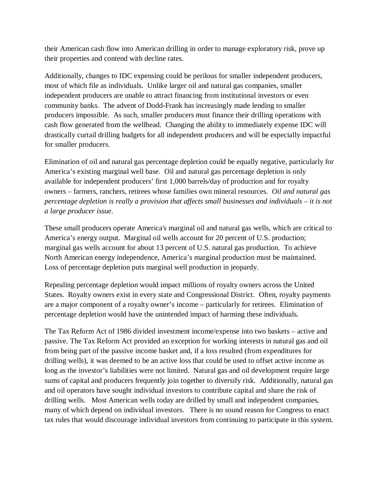their American cash flow into American drilling in order to manage exploratory risk, prove up their properties and contend with decline rates.

Additionally, changes to IDC expensing could be perilous for smaller independent producers, most of which file as individuals. Unlike larger oil and natural gas companies, smaller independent producers are unable to attract financing from institutional investors or even community banks. The advent of Dodd-Frank has increasingly made lending to smaller producers impossible. As such, smaller producers must finance their drilling operations with cash flow generated from the wellhead. Changing the ability to immediately expense IDC will drastically curtail drilling budgets for all independent producers and will be especially impactful for smaller producers.

Elimination of oil and natural gas percentage depletion could be equally negative, particularly for America's existing marginal well base. Oil and natural gas percentage depletion is only available for independent producers' first 1,000 barrels/day of production and for royalty owners – farmers, ranchers, retirees whose families own mineral resources. *Oil and natural gas percentage depletion is really a provision that affects small businesses and individuals – it is not a large producer issue*.

These small producers operate America's marginal oil and natural gas wells, which are critical to America's energy output. Marginal oil wells account for 20 percent of U.S. production; marginal gas wells account for about 13 percent of U.S. natural gas production. To achieve North American energy independence, America's marginal production must be maintained. Loss of percentage depletion puts marginal well production in jeopardy.

Repealing percentage depletion would impact millions of royalty owners across the United States. Royalty owners exist in every state and Congressional District. Often, royalty payments are a major component of a royalty owner's income – particularly for retirees. Elimination of percentage depletion would have the unintended impact of harming these individuals.

The Tax Reform Act of 1986 divided investment income/expense into two baskets – active and passive. The Tax Reform Act provided an exception for working interests in natural gas and oil from being part of the passive income basket and, if a loss resulted (from expenditures for drilling wells), it was deemed to be an active loss that could be used to offset active income as long as the investor's liabilities were not limited. Natural gas and oil development require large sums of capital and producers frequently join together to diversify risk. Additionally, natural gas and oil operators have sought individual investors to contribute capital and share the risk of drilling wells. Most American wells today are drilled by small and independent companies, many of which depend on individual investors. There is no sound reason for Congress to enact tax rules that would discourage individual investors from continuing to participate in this system.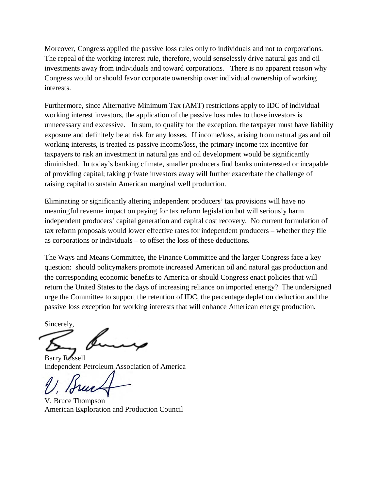Moreover, Congress applied the passive loss rules only to individuals and not to corporations. The repeal of the working interest rule, therefore, would senselessly drive natural gas and oil investments away from individuals and toward corporations. There is no apparent reason why Congress would or should favor corporate ownership over individual ownership of working interests.

Furthermore, since Alternative Minimum Tax (AMT) restrictions apply to IDC of individual working interest investors, the application of the passive loss rules to those investors is unnecessary and excessive. In sum, to qualify for the exception, the taxpayer must have liability exposure and definitely be at risk for any losses. If income/loss, arising from natural gas and oil working interests, is treated as passive income/loss, the primary income tax incentive for taxpayers to risk an investment in natural gas and oil development would be significantly diminished. In today's banking climate, smaller producers find banks uninterested or incapable of providing capital; taking private investors away will further exacerbate the challenge of raising capital to sustain American marginal well production.

Eliminating or significantly altering independent producers' tax provisions will have no meaningful revenue impact on paying for tax reform legislation but will seriously harm independent producers' capital generation and capital cost recovery. No current formulation of tax reform proposals would lower effective rates for independent producers – whether they file as corporations or individuals – to offset the loss of these deductions.

The Ways and Means Committee, the Finance Committee and the larger Congress face a key question: should policymakers promote increased American oil and natural gas production and the corresponding economic benefits to America or should Congress enact policies that will return the United States to the days of increasing reliance on imported energy? The undersigned urge the Committee to support the retention of IDC, the percentage depletion deduction and the passive loss exception for working interests that will enhance American energy production.

Sincerely,

Barry Russell Independent Petroleum Association of America

V. Bruce Thompson American Exploration and Production Council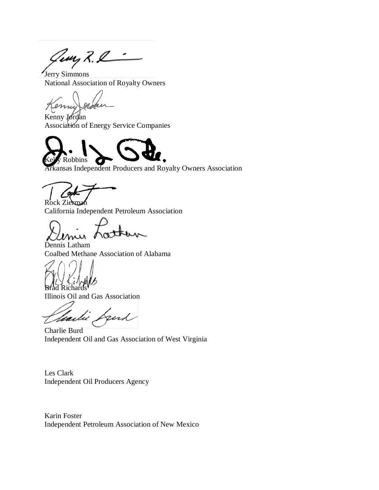Georg R. L

Jerry Simmons National Association of Royalty Owners

enni

Kenny Jordan Association of Energy Service Companies



Arkansas Independent Producers and Royalty Owners Association

Rock Zierman California Independent Petroleum Association

Dennis Latham Coalbed Methane Association of Alabama

Richards

Illinois Oil and Gas Association

fund faild

Charlie Burd Independent Oil and Gas Association of West Virginia

Les Clark Independent Oil Producers Agency

Karin Foster Independent Petroleum Association of New Mexico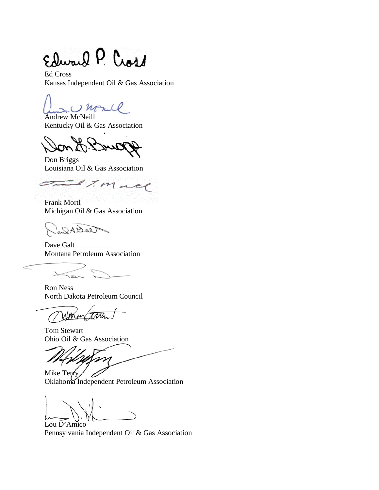Edward P. Cross

Ed Cross Kansas Independent Oil & Gas Association

mence

Andrew McNeill Kentucky Oil & Gas Association

Don Briggs Louisiana Oil & Gas Association

exmand  $\overline{\mathcal{C}}$ 

Frank Mortl Michigan Oil & Gas Association

NellAlis

Dave Galt Montana Petroleum Association

 $\,<$ 

Ron Ness North Dakota Petroleum Council

 $\overline{116}$ 

Tom Stewart Ohio Oil & Gas Association

m

Mike Terry Oklahoma Independent Petroleum Association

Lou D'Amico Pennsylvania Independent Oil & Gas Association